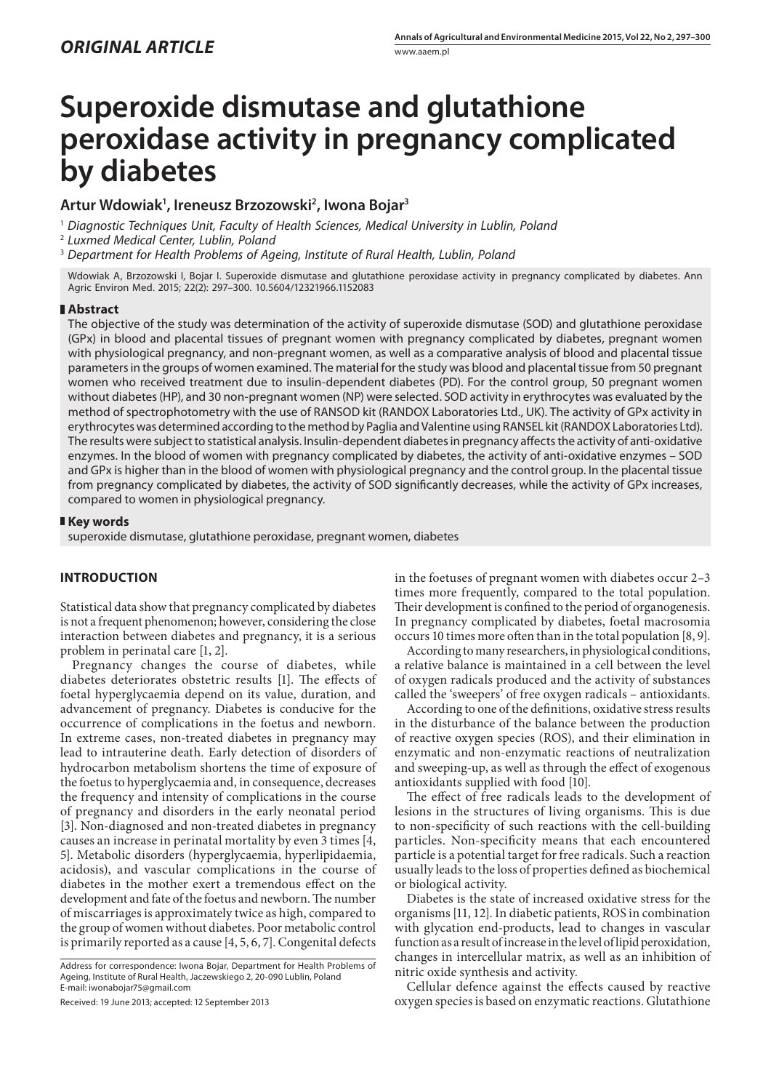# **Superoxide dismutase and glutathione peroxidase activity in pregnancy complicated by diabetes**

# **Artur Wdowiak1 , Ireneusz Brzozowski2 , Iwona Bojar3**

1  *Diagnostic Techniques Unit, Faculty of Health Sciences, Medical University in Lublin, Poland*

2  *Luxmed Medical Center, Lublin, Poland*

3  *Department for Health Problems of Ageing, Institute of Rural Health, Lublin, Poland*

Wdowiak A, Brzozowski I, Bojar I. Superoxide dismutase and glutathione peroxidase activity in pregnancy complicated by diabetes. Ann Agric Environ Med. 2015; 22(2): 297–300. 10.5604/12321966.1152083

## **Abstract**

The objective of the study was determination of the activity of superoxide dismutase (SOD) and glutathione peroxidase (GPx) in blood and placental tissues of pregnant women with pregnancy complicated by diabetes, pregnant women with physiological pregnancy, and non-pregnant women, as well as a comparative analysis of blood and placental tissue parameters in the groups of women examined. The material for the study was blood and placental tissue from 50 pregnant women who received treatment due to insulin-dependent diabetes (PD). For the control group, 50 pregnant women without diabetes (HP), and 30 non-pregnant women (NP) were selected. SOD activity in erythrocytes was evaluated by the method of spectrophotometry with the use of RANSOD kit (RANDOX Laboratories Ltd., UK). The activity of GPx activity in erythrocytes was determined according to the method by Paglia and Valentine using RANSEL kit (RANDOX Laboratories Ltd). The results were subject to statistical analysis. Insulin-dependent diabetes in pregnancy affects the activity of anti-oxidative enzymes. In the blood of women with pregnancy complicated by diabetes, the activity of anti-oxidative enzymes – SOD and GPx is higher than in the blood of women with physiological pregnancy and the control group. In the placental tissue from pregnancy complicated by diabetes, the activity of SOD significantly decreases, while the activity of GPx increases, compared to women in physiological pregnancy.

### **Key words**

superoxide dismutase, glutathione peroxidase, pregnant women, diabetes

## **INTRODUCTION**

Statistical data show that pregnancy complicated by diabetes is not a frequent phenomenon; however, considering the close interaction between diabetes and pregnancy, it is a serious problem in perinatal care [1, 2].

Pregnancy changes the course of diabetes, while diabetes deteriorates obstetric results [1]. The effects of foetal hyperglycaemia depend on its value, duration, and advancement of pregnancy. Diabetes is conducive for the occurrence of complications in the foetus and newborn. In extreme cases, non-treated diabetes in pregnancy may lead to intrauterine death. Early detection of disorders of hydrocarbon metabolism shortens the time of exposure of the foetus to hyperglycaemia and, in consequence, decreases the frequency and intensity of complications in the course of pregnancy and disorders in the early neonatal period [3]. Non-diagnosed and non-treated diabetes in pregnancy causes an increase in perinatal mortality by even 3 times [4, 5]. Metabolic disorders (hyperglycaemia, hyperlipidaemia, acidosis), and vascular complications in the course of diabetes in the mother exert a tremendous effect on the development and fate of the foetus and newborn. The number of miscarriages is approximately twice as high, compared to the group of women without diabetes. Poor metabolic control is primarily reported as a cause [4, 5, 6, 7]. Congenital defects

Received: 19 June 2013; accepted: 12 September 2013

in the foetuses of pregnant women with diabetes occur 2–3 times more frequently, compared to the total population. Their development is confined to the period of organogenesis. In pregnancy complicated by diabetes, foetal macrosomia occurs 10 times more often than in the total population [8, 9].

According to many researchers, in physiological conditions, a relative balance is maintained in a cell between the level of oxygen radicals produced and the activity of substances called the 'sweepers' of free oxygen radicals – antioxidants.

According to one of the definitions, oxidative stress results in the disturbance of the balance between the production of reactive oxygen species (ROS), and their elimination in enzymatic and non-enzymatic reactions of neutralization and sweeping-up, as well as through the effect of exogenous antioxidants supplied with food [10].

The effect of free radicals leads to the development of lesions in the structures of living organisms. This is due to non-specificity of such reactions with the cell-building particles. Non-specificity means that each encountered particle is a potential target for free radicals. Such a reaction usually leads to the loss of properties defined as biochemical or biological activity.

Diabetes is the state of increased oxidative stress for the organisms [11, 12]. In diabetic patients, ROS in combination with glycation end-products, lead to changes in vascular function as a result of increase in the level of lipid peroxidation, changes in intercellular matrix, as well as an inhibition of nitric oxide synthesis and activity.

Cellular defence against the effects caused by reactive oxygen species is based on enzymatic reactions. Glutathione

Address for correspondence: Iwona Bojar, Department for Health Problems of Ageing, Institute of Rural Health, Jaczewskiego 2, 20-090 Lublin, Poland E-mail: iwonabojar75@gmail.com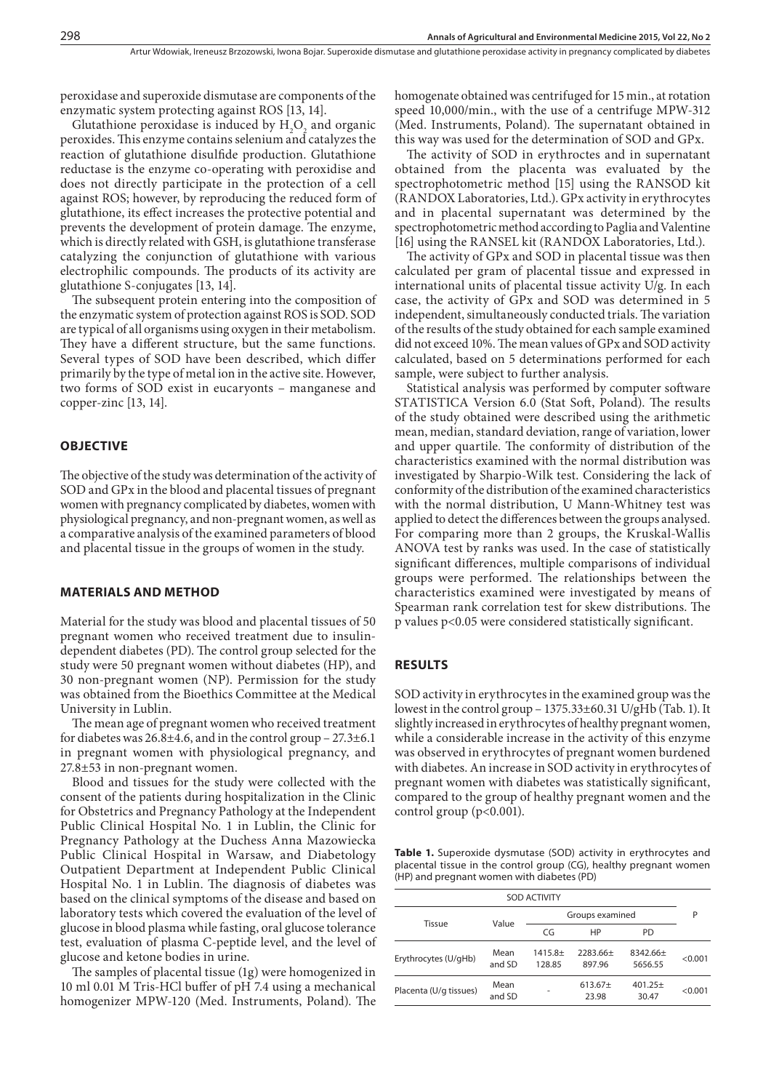peroxidase and superoxide dismutase are components of the enzymatic system protecting against ROS [13, 14].

Glutathione peroxidase is induced by  $H_2O_2$  and organic peroxides. This enzyme contains selenium and catalyzes the reaction of glutathione disulfide production. Glutathione reductase is the enzyme co-operating with peroxidise and does not directly participate in the protection of a cell against ROS; however, by reproducing the reduced form of glutathione, its effect increases the protective potential and prevents the development of protein damage. The enzyme, which is directly related with GSH, is glutathione transferase catalyzing the conjunction of glutathione with various electrophilic compounds. The products of its activity are glutathione S-conjugates [13, 14].

The subsequent protein entering into the composition of the enzymatic system of protection against ROS is SOD. SOD are typical of all organisms using oxygen in their metabolism. They have a different structure, but the same functions. Several types of SOD have been described, which differ primarily by the type of metal ion in the active site. However, two forms of SOD exist in eucaryonts – manganese and copper-zinc [13, 14].

#### **OBJECTIVE**

The objective of the study was determination of the activity of SOD and GPx in the blood and placental tissues of pregnant women with pregnancy complicated by diabetes, women with physiological pregnancy, and non-pregnant women, as well as a comparative analysis of the examined parameters of blood and placental tissue in the groups of women in the study.

#### **MATERIALS AND METHOD**

Material for the study was blood and placental tissues of 50 pregnant women who received treatment due to insulindependent diabetes (PD). The control group selected for the study were 50 pregnant women without diabetes (HP), and 30 non-pregnant women (NP). Permission for the study was obtained from the Bioethics Committee at the Medical University in Lublin.

The mean age of pregnant women who received treatment for diabetes was 26.8±4.6, and in the control group – 27.3±6.1 in pregnant women with physiological pregnancy, and 27.8±53 in non-pregnant women.

Blood and tissues for the study were collected with the consent of the patients during hospitalization in the Clinic for Obstetrics and Pregnancy Pathology at the Independent Public Clinical Hospital No. 1 in Lublin, the Clinic for Pregnancy Pathology at the Duchess Anna Mazowiecka Public Clinical Hospital in Warsaw, and Diabetology Outpatient Department at Independent Public Clinical Hospital No. 1 in Lublin. The diagnosis of diabetes was based on the clinical symptoms of the disease and based on laboratory tests which covered the evaluation of the level of glucose in blood plasma while fasting, oral glucose tolerance test, evaluation of plasma C*-*peptide level, and the level of glucose and ketone bodies in urine.

The samples of placental tissue (1g) were homogenized in 10 ml 0.01 M Tris-HCl buffer of pH 7.4 using a mechanical homogenizer MPW-120 (Med. Instruments, Poland). The homogenate obtained was centrifuged for 15 min., at rotation speed 10,000/min., with the use of a centrifuge MPW-312 (Med. Instruments, Poland). The supernatant obtained in this way was used for the determination of SOD and GPx.

The activity of SOD in erythroctes and in supernatant obtained from the placenta was evaluated by the spectrophotometric method [15] using the RANSOD kit (RANDOX Laboratories, Ltd.). GPx activity in erythrocytes and in placental supernatant was determined by the spectrophotometric method according to Paglia and Valentine [16] using the RANSEL kit (RANDOX Laboratories, Ltd.).

The activity of GPx and SOD in placental tissue was then calculated per gram of placental tissue and expressed in international units of placental tissue activity U/g. In each case, the activity of GPx and SOD was determined in 5 independent, simultaneously conducted trials. The variation of the results of the study obtained for each sample examined did not exceed 10%. The mean values of GPx and SOD activity calculated, based on 5 determinations performed for each sample, were subject to further analysis.

Statistical analysis was performed by computer software STATISTICA Version 6.0 (Stat Soft, Poland). The results of the study obtained were described using the arithmetic mean, median, standard deviation, range of variation, lower and upper quartile. The conformity of distribution of the characteristics examined with the normal distribution was investigated by Sharpio-Wilk test. Considering the lack of conformity of the distribution of the examined characteristics with the normal distribution, U Mann-Whitney test was applied to detect the differences between the groups analysed. For comparing more than 2 groups, the Kruskal-Wallis ANOVA test by ranks was used. In the case of statistically significant differences, multiple comparisons of individual groups were performed. The relationships between the characteristics examined were investigated by means of Spearman rank correlation test for skew distributions. The p values p<0.05 were considered statistically significant.

#### **RESULTS**

SOD activity in erythrocytes in the examined group was the lowest in the control group – 1375.33±60.31 U/gHb (Tab. 1). It slightly increased in erythrocytes of healthy pregnant women, while a considerable increase in the activity of this enzyme was observed in erythrocytes of pregnant women burdened with diabetes. An increase in SOD activity in erythrocytes of pregnant women with diabetes was statistically significant, compared to the group of healthy pregnant women and the control group  $(p<0.001)$ .

**Table 1.** Superoxide dysmutase (SOD) activity in erythrocytes and placental tissue in the control group (CG), healthy pregnant women (HP) and pregnant women with diabetes (PD)

| <b>SOD ACTIVITY</b>    |                |                     |                      |                     |         |
|------------------------|----------------|---------------------|----------------------|---------------------|---------|
| Tissue                 | Value          | Groups examined     |                      |                     | P       |
|                        |                | CG                  | HP                   | <b>PD</b>           |         |
| Erythrocytes (U/gHb)   | Mean<br>and SD | $1415.8+$<br>128.85 | $2283.66+$<br>897.96 | 8342.66+<br>5656.55 | < 0.001 |
| Placenta (U/g tissues) | Mean<br>and SD |                     | $613.67+$<br>23.98   | $401.25+$<br>30.47  | < 0.001 |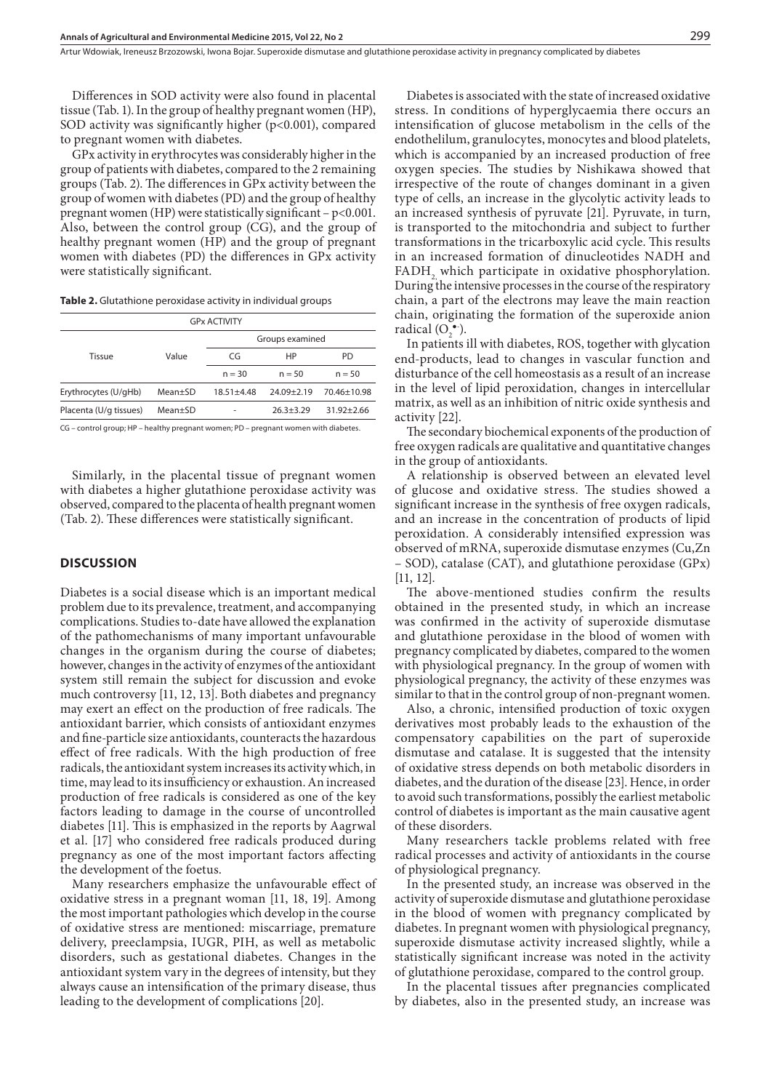Artur Wdowiak, Ireneusz Brzozowski, Iwona Bojar . Superoxide dismutase and glutathione peroxidase activity in pregnancy complicated by diabetes

Differences in SOD activity were also found in placental tissue (Tab. 1). In the group of healthy pregnant women (HP), SOD activity was significantly higher  $(p<0.001)$ , compared to pregnant women with diabetes.

GPx activity in erythrocytes was considerably higher in the group of patients with diabetes, compared to the 2 remaining groups (Tab. 2). The differences in GPx activity between the group of women with diabetes (PD) and the group of healthy pregnant women (HP) were statistically significant  $-p<0.001$ . Also, between the control group (CG), and the group of healthy pregnant women (HP) and the group of pregnant women with diabetes (PD) the differences in GPx activity were statistically significant.

**Table 2.** Glutathione peroxidase activity in individual groups

| <b>GPx ACTIVITY</b>    |         |                 |                |                |  |  |  |
|------------------------|---------|-----------------|----------------|----------------|--|--|--|
|                        |         | Groups examined |                |                |  |  |  |
| Tissue                 | Value   | CG              | HP             | <b>PD</b>      |  |  |  |
|                        |         | $n = 30$        | $n = 50$       | $n = 50$       |  |  |  |
| Erythrocytes (U/gHb)   | Mean±SD | $18.51 + 4.48$  | $24.09 + 2.19$ | 70.46±10.98    |  |  |  |
| Placenta (U/g tissues) | Mean±SD | ۰               | $26.3 + 3.29$  | $31.92 + 2.66$ |  |  |  |
|                        |         |                 |                |                |  |  |  |

CG – control group; HP – healthy pregnant women; PD – pregnant women with diabetes.

Similarly, in the placental tissue of pregnant women with diabetes a higher glutathione peroxidase activity was observed, compared to the placenta of health pregnant women (Tab. 2). These differences were statistically significant.

#### **DISCUSSION**

Diabetes is a social disease which is an important medical problem due to its prevalence, treatment, and accompanying complications. Studies to-date have allowed the explanation of the pathomechanisms of many important unfavourable changes in the organism during the course of diabetes; however, changes in the activity of enzymes of the antioxidant system still remain the subject for discussion and evoke much controversy [11, 12, 13]. Both diabetes and pregnancy may exert an effect on the production of free radicals. The antioxidant barrier, which consists of antioxidant enzymes and fine-particle size antioxidants, counteracts the hazardous effect of free radicals. With the high production of free radicals, the antioxidant system increases its activity which, in time, may lead to its insufficiency or exhaustion. An increased production of free radicals is considered as one of the key factors leading to damage in the course of uncontrolled diabetes [11]. This is emphasized in the reports by Aagrwal et al. [17] who considered free radicals produced during pregnancy as one of the most important factors affecting the development of the foetus.

Many researchers emphasize the unfavourable effect of oxidative stress in a pregnant woman [11, 18, 19]. Among the most important pathologies which develop in the course of oxidative stress are mentioned: miscarriage, premature delivery, preeclampsia, IUGR, PIH, as well as metabolic disorders, such as gestational diabetes. Changes in the antioxidant system vary in the degrees of intensity, but they always cause an intensification of the primary disease, thus leading to the development of complications [20].

Diabetes is associated with the state of increased oxidative stress. In conditions of hyperglycaemia there occurs an intensification of glucose metabolism in the cells of the endothelilum, granulocytes, monocytes and blood platelets, which is accompanied by an increased production of free oxygen species. The studies by Nishikawa showed that irrespective of the route of changes dominant in a given type of cells, an increase in the glycolytic activity leads to an increased synthesis of pyruvate [21]. Pyruvate, in turn, is transported to the mitochondria and subject to further transformations in the tricarboxylic acid cycle. This results in an increased formation of dinucleotides NADH and FADH<sub>2</sub>, which participate in oxidative phosphorylation. During the intensive processes in the course of the respiratory chain, a part of the electrons may leave the main reaction chain, originating the formation of the superoxide anion radical  $(O_2^{\bullet})$ .

In patients ill with diabetes, ROS, together with glycation end-products, lead to changes in vascular function and disturbance of the cell homeostasis as a result of an increase in the level of lipid peroxidation, changes in intercellular matrix, as well as an inhibition of nitric oxide synthesis and activity [22].

The secondary biochemical exponents of the production of free oxygen radicals are qualitative and quantitative changes in the group of antioxidants.

A relationship is observed between an elevated level of glucose and oxidative stress. The studies showed a significant increase in the synthesis of free oxygen radicals, and an increase in the concentration of products of lipid peroxidation. A considerably intensified expression was observed of mRNA, superoxide dismutase enzymes (Cu,Zn – SOD), catalase (CAT), and glutathione peroxidase (GPx) [11, 12].

The above-mentioned studies confirm the results obtained in the presented study, in which an increase was confirmed in the activity of superoxide dismutase and glutathione peroxidase in the blood of women with pregnancy complicated by diabetes, compared to the women with physiological pregnancy. In the group of women with physiological pregnancy, the activity of these enzymes was similar to that in the control group of non-pregnant women.

Also, a chronic, intensified production of toxic oxygen derivatives most probably leads to the exhaustion of the compensatory capabilities on the part of superoxide dismutase and catalase. It is suggested that the intensity of oxidative stress depends on both metabolic disorders in diabetes, and the duration of the disease [23]. Hence, in order to avoid such transformations, possibly the earliest metabolic control of diabetes is important as the main causative agent of these disorders.

Many researchers tackle problems related with free radical processes and activity of antioxidants in the course of physiological pregnancy.

In the presented study, an increase was observed in the activity of superoxide dismutase and glutathione peroxidase in the blood of women with pregnancy complicated by diabetes. In pregnant women with physiological pregnancy, superoxide dismutase activity increased slightly, while a statistically significant increase was noted in the activity of glutathione peroxidase, compared to the control group.

In the placental tissues after pregnancies complicated by diabetes, also in the presented study, an increase was